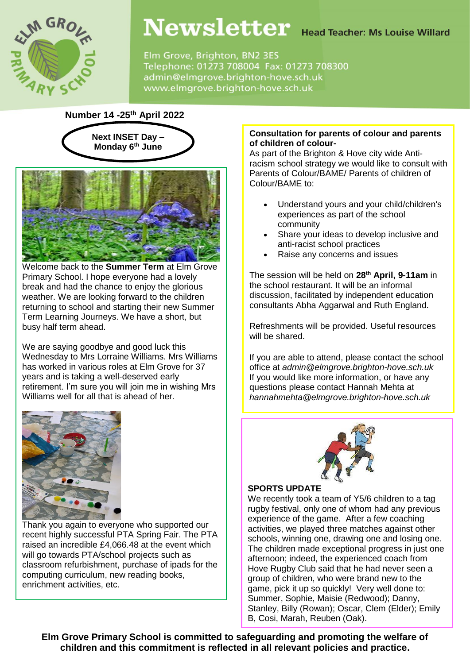

# Newsletter Head Teacher: Ms Louise Willard

Elm Grove, Brighton, BN2 3ES Telephone: 01273 708004 Fax: 01273 708300 admin@elmgrove.brighton-hove.sch.uk www.elmgrove.brighton-hove.sch.uk

## **Number 14 -25th April 2022**



Welcome back to the **Summer Term** at Elm Grove Primary School. I hope everyone had a lovely break and had the chance to enjoy the glorious weather. We are looking forward to the children returning to school and starting their new Summer Term Learning Journeys. We have a short, but busy half term ahead.

We are saying goodbye and good luck this Wednesday to Mrs Lorraine Williams. Mrs Williams has worked in various roles at Elm Grove for 37 years and is taking a well-deserved early retirement. I'm sure you will join me in wishing Mrs Williams well for all that is ahead of her.



Thank you again to everyone who supported our recent highly successful PTA Spring Fair. The PTA raised an incredible £4,066.48 at the event which will go towards PTA/school projects such as classroom refurbishment, purchase of ipads for the computing curriculum, new reading books, enrichment activities, etc.

#### **Consultation for parents of colour and parents of children of colour-**

As part of the Brighton & Hove city wide Antiracism school strategy we would like to consult with Parents of Colour/BAME/ Parents of children of Colour/BAME to:

- Understand yours and your child/children's experiences as part of the school community
- Share your ideas to develop inclusive and anti-racist school practices
- Raise any concerns and issues

The session will be held on **28th April, 9-11am** in the school restaurant. It will be an informal discussion, facilitated by independent education consultants Abha Aggarwal and Ruth England.

Refreshments will be provided. Useful resources will be shared.

If you are able to attend, please contact the school office at *admin@elmgrove.brighton-hove.sch.uk* If you would like more information, or have any questions please contact Hannah Mehta at *hannahmehta@elmgrove.brighton-hove.sch.uk*



#### **SPORTS UPDATE**

We recently took a team of Y5/6 children to a tag rugby festival, only one of whom had any previous experience of the game. After a few coaching activities, we played three matches against other schools, winning one, drawing one and losing one. The children made exceptional progress in just one afternoon; indeed, the experienced coach from Hove Rugby Club said that he had never seen a group of children, who were brand new to the game, pick it up so quickly! Very well done to: Summer, Sophie, Maisie (Redwood); Danny, Stanley, Billy (Rowan); Oscar, Clem (Elder); Emily B, Cosi, Marah, Reuben (Oak).

**Elm Grove Primary School is committed to safeguarding and promoting the welfare of children and this commitment is reflected in all relevant policies and practice.**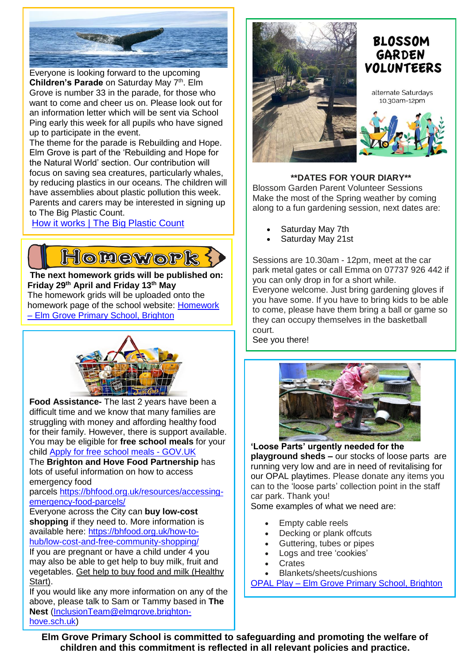

Everyone is looking forward to the upcoming **Children's Parade** on Saturday May 7<sup>th</sup>. Elm Grove is number 33 in the parade, for those who want to come and cheer us on. Please look out for an information letter which will be sent via School Ping early this week for all pupils who have signed up to participate in the event.

The theme for the parade is Rebuilding and Hope. Elm Grove is part of the 'Rebuilding and Hope for the Natural World' section. Our contribution will focus on saving sea creatures, particularly whales, by reducing plastics in our oceans. The children will have assemblies about plastic pollution this week. Parents and carers may be interested in signing up to The Big Plastic Count.

[How it works | The Big Plastic Count](https://thebigplasticcount.com/how-it-works#video)



**The next homework grids will be published on: Friday 29th April and Friday 13th May** The homework grids will be uploaded onto the homework page of the school website: [Homework](https://www.elmgrove.brighton-hove.sch.uk/year-groups/homework/)  – [Elm Grove Primary School, Brighton](https://www.elmgrove.brighton-hove.sch.uk/year-groups/homework/)



**Food Assistance-** The last 2 years have been a difficult time and we know that many families are struggling with money and affording healthy food for their family. However, there is support available. You may be eligible for **free school meals** for your child Apply for free school meals - [GOV.UK](https://www.brighton-hove.gov.uk/schools-and-learning/free-school-meals)

The **Brighton and Hove Food Partnership** has lots of useful information on how to access emergency food

parcels [https://bhfood.org.uk/resources/accessing](https://bhfood.org.uk/resources/accessing-emergency-food-parcels/)[emergency-food-parcels/](https://bhfood.org.uk/resources/accessing-emergency-food-parcels/)

Everyone across the City can **buy low-cost shopping** if they need to. More information is available here: [https://bhfood.org.uk/how-to](https://bhfood.org.uk/how-to-hub/low-cost-and-free-community-shopping/)[hub/low-cost-and-free-community-shopping/](https://bhfood.org.uk/how-to-hub/low-cost-and-free-community-shopping/)

If you are pregnant or have a child under 4 you may also be able to get help to buy milk, fruit and vegetables. Get help to buy food and milk [\(Healthy](https://www.healthystart.nhs.uk/) [Start\).](https://www.healthystart.nhs.uk/)

If you would like any more information on any of the above, please talk to Sam or Tammy based in **The Nest** [\(InclusionTeam@elmgrove.brighton](mailto:InclusionTeam@elmgrove.brighton-hove.sch.uk)[hove.sch.uk\)](mailto:InclusionTeam@elmgrove.brighton-hove.sch.uk)





alternate Saturdays 10.30am-12pm



### **\*\*DATES FOR YOUR DIARY\*\***

Blossom Garden Parent Volunteer Sessions Make the most of the Spring weather by coming along to a fun gardening session, next dates are:

- Saturday May 7th
- Saturday May 21st

Sessions are 10.30am - 12pm, meet at the car park metal gates or call Emma on 07737 926 442 if you can only drop in for a short while.

Everyone welcome. Just bring gardening gloves if you have some. If you have to bring kids to be able to come, please have them bring a ball or game so they can occupy themselves in the basketball court.

See you there!



**'Loose Parts' urgently needed for the playground sheds –** our stocks of loose parts are running very low and are in need of revitalising for our OPAL playtimes. Please donate any items you can to the 'loose parts' collection point in the staff car park. Thank you!

Some examples of what we need are:

- Empty cable reels
- Decking or plank offcuts
- Guttering, tubes or pipes
- Logs and tree 'cookies'
- **Crates**
- Blankets/sheets/cushions

OPAL Play – [Elm Grove Primary School, Brighton](https://www.elmgrove.brighton-hove.sch.uk/opal-play/)

**Elm Grove Primary School is committed to safeguarding and promoting the welfare of children and this commitment is reflected in all relevant policies and practice.**